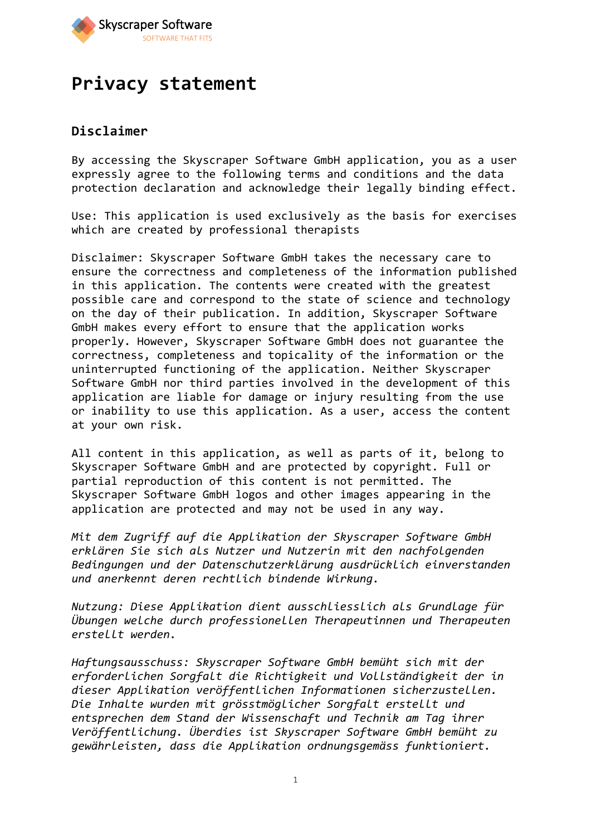

# **Privacy statement**

## **Disclaimer**

By accessing the Skyscraper Software GmbH application, you as a user expressly agree to the following terms and conditions and the data protection declaration and acknowledge their legally binding effect.

Use: This application is used exclusively as the basis for exercises which are created by professional therapists

Disclaimer: Skyscraper Software GmbH takes the necessary care to ensure the correctness and completeness of the information published in this application. The contents were created with the greatest possible care and correspond to the state of science and technology on the day of their publication. In addition, Skyscraper Software GmbH makes every effort to ensure that the application works properly. However, Skyscraper Software GmbH does not guarantee the correctness, completeness and topicality of the information or the uninterrupted functioning of the application. Neither Skyscraper Software GmbH nor third parties involved in the development of this application are liable for damage or injury resulting from the use or inability to use this application. As a user, access the content at your own risk.

All content in this application, as well as parts of it, belong to Skyscraper Software GmbH and are protected by copyright. Full or partial reproduction of this content is not permitted. The Skyscraper Software GmbH logos and other images appearing in the application are protected and may not be used in any way.

*Mit dem Zugriff auf die Applikation der Skyscraper Software GmbH erklären Sie sich als Nutzer und Nutzerin mit den nachfolgenden Bedingungen und der Datenschutzerklärung ausdrücklich einverstanden und anerkennt deren rechtlich bindende Wirkung.*

*Nutzung: Diese Applikation dient ausschliesslich als Grundlage für Übungen welche durch professionellen Therapeutinnen und Therapeuten erstellt werden.*

*Haftungsausschuss: Skyscraper Software GmbH bemüht sich mit der erforderlichen Sorgfalt die Richtigkeit und Vollständigkeit der in dieser Applikation veröffentlichen Informationen sicherzustellen. Die Inhalte wurden mit grösstmöglicher Sorgfalt erstellt und entsprechen dem Stand der Wissenschaft und Technik am Tag ihrer Veröffentlichung. Überdies ist Skyscraper Software GmbH bemüht zu gewährleisten, dass die Applikation ordnungsgemäss funktioniert.*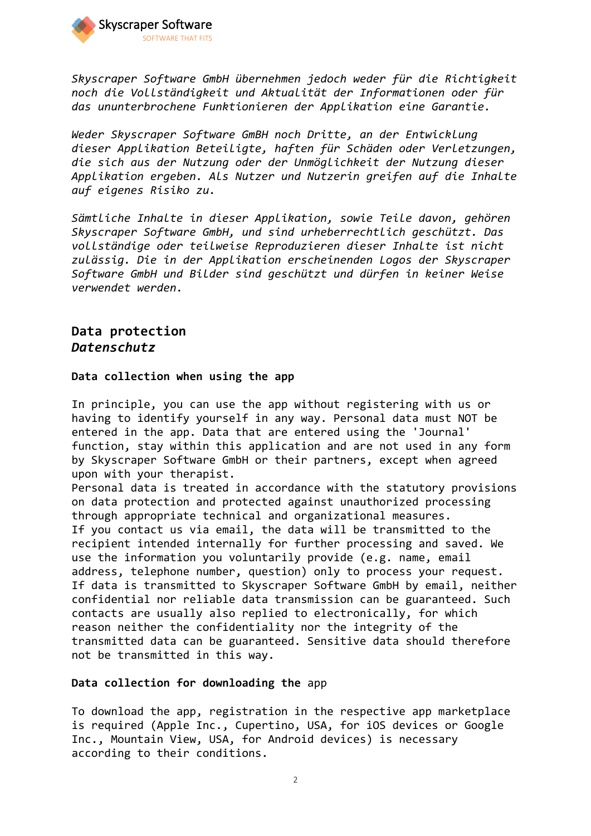

*Skyscraper Software GmbH übernehmen jedoch weder für die Richtigkeit noch die Vollständigkeit und Aktualität der Informationen oder für das ununterbrochene Funktionieren der Applikation eine Garantie.*

*Weder Skyscraper Software GmBH noch Dritte, an der Entwicklung dieser Applikation Beteiligte, haften für Schäden oder Verletzungen, die sich aus der Nutzung oder der Unmöglichkeit der Nutzung dieser Applikation ergeben. Als Nutzer und Nutzerin greifen auf die Inhalte auf eigenes Risiko zu.*

*Sämtliche Inhalte in dieser Applikation, sowie Teile davon, gehören Skyscraper Software GmbH, und sind urheberrechtlich geschützt. Das vollständige oder teilweise Reproduzieren dieser Inhalte ist nicht zulässig. Die in der Applikation erscheinenden Logos der Skyscraper Software GmbH und Bilder sind geschützt und dürfen in keiner Weise verwendet werden.*

## **Data protection** *Datenschutz*

#### **Data collection when using the app**

In principle, you can use the app without registering with us or having to identify yourself in any way. Personal data must NOT be entered in the app. Data that are entered using the 'Journal' function, stay within this application and are not used in any form by Skyscraper Software GmbH or their partners, except when agreed upon with your therapist.

Personal data is treated in accordance with the statutory provisions on data protection and protected against unauthorized processing through appropriate technical and organizational measures. If you contact us via email, the data will be transmitted to the recipient intended internally for further processing and saved. We use the information you voluntarily provide (e.g. name, email address, telephone number, question) only to process your request. If data is transmitted to Skyscraper Software GmbH by email, neither confidential nor reliable data transmission can be guaranteed. Such contacts are usually also replied to electronically, for which reason neither the confidentiality nor the integrity of the transmitted data can be guaranteed. Sensitive data should therefore not be transmitted in this way.

#### **Data collection for downloading the** app

To download the app, registration in the respective app marketplace is required (Apple Inc., Cupertino, USA, for iOS devices or Google Inc., Mountain View, USA, for Android devices) is necessary according to their conditions.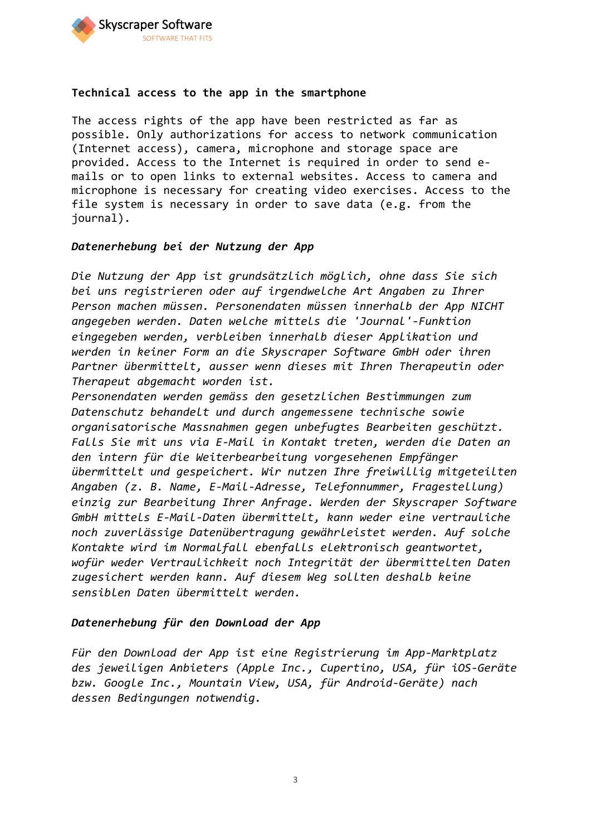

#### **Technical access to the app in the smartphone**

The access rights of the app have been restricted as far as possible. Only authorizations for access to network communication (Internet access), camera, microphone and storage space are provided. Access to the Internet is required in order to send emails or to open links to external websites. Access to camera and microphone is necessary for creating video exercises. Access to the file system is necessary in order to save data (e.g. from the journal).

#### *Datenerhebung bei der Nutzung der App*

*Die Nutzung der App ist grundsätzlich möglich, ohne dass Sie sich bei uns registrieren oder auf irgendwelche Art Angaben zu Ihrer Person machen müssen. Personendaten müssen innerhalb der App NICHT angegeben werden. Daten welche mittels die 'Journal'-Funktion eingegeben werden, verbleiben innerhalb dieser Applikation und werden in keiner Form an die Skyscraper Software GmbH oder ihren Partner übermittelt, ausser wenn dieses mit Ihren Therapeutin oder Therapeut abgemacht worden ist.* 

*Personendaten werden gemäss den gesetzlichen Bestimmungen zum Datenschutz behandelt und durch angemessene technische sowie organisatorische Massnahmen gegen unbefugtes Bearbeiten geschützt. Falls Sie mit uns via E-Mail in Kontakt treten, werden die Daten an den intern für die Weiterbearbeitung vorgesehenen Empfänger übermittelt und gespeichert. Wir nutzen Ihre freiwillig mitgeteilten Angaben (z. B. Name, E-Mail-Adresse, Telefonnummer, Fragestellung) einzig zur Bearbeitung Ihrer Anfrage. Werden der Skyscraper Software GmbH mittels E-Mail-Daten übermittelt, kann weder eine vertrauliche noch zuverlässige Datenübertragung gewährleistet werden. Auf solche Kontakte wird im Normalfall ebenfalls elektronisch geantwortet, wofür weder Vertraulichkeit noch Integrität der übermittelten Daten zugesichert werden kann. Auf diesem Weg sollten deshalb keine sensiblen Daten übermittelt werden.*

### *Datenerhebung für den Download der App*

*Für den Download der App ist eine Registrierung im App-Marktplatz des jeweiligen Anbieters (Apple Inc., Cupertino, USA, für iOS-Geräte bzw. Google Inc., Mountain View, USA, für Android-Geräte) nach dessen Bedingungen notwendig.*